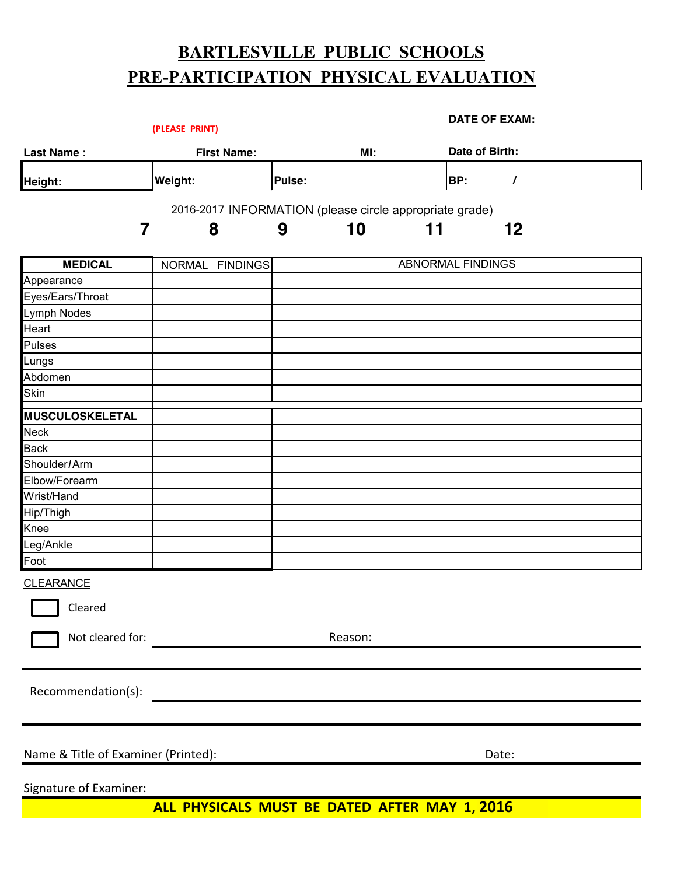# **BARTLESVILLE PUBLIC SCHOOLS PRE-PARTICIPATION PHYSICAL EVALUATION**

|                                               | (PLEASE PRINT)                                          |        |         |    | <b>DATE OF EXAM:</b>     |          |
|-----------------------------------------------|---------------------------------------------------------|--------|---------|----|--------------------------|----------|
| <b>Last Name:</b>                             | <b>First Name:</b>                                      |        | MI:     |    | Date of Birth:           |          |
| Height:                                       | <b>Weight:</b>                                          | Pulse: |         |    | BP:                      | $\prime$ |
|                                               | 2016-2017 INFORMATION (please circle appropriate grade) |        |         |    |                          |          |
| 7                                             | 8                                                       | 9      | 10      | 11 |                          | 12       |
|                                               |                                                         |        |         |    |                          |          |
| <b>MEDICAL</b>                                | NORMAL FINDINGS                                         |        |         |    | <b>ABNORMAL FINDINGS</b> |          |
| Appearance                                    |                                                         |        |         |    |                          |          |
| Eyes/Ears/Throat                              |                                                         |        |         |    |                          |          |
| Lymph Nodes                                   |                                                         |        |         |    |                          |          |
| Heart                                         |                                                         |        |         |    |                          |          |
| Pulses                                        |                                                         |        |         |    |                          |          |
| Lungs                                         |                                                         |        |         |    |                          |          |
| Abdomen                                       |                                                         |        |         |    |                          |          |
| <b>Skin</b>                                   |                                                         |        |         |    |                          |          |
| MUSCULOSKELETAL                               |                                                         |        |         |    |                          |          |
| Neck                                          |                                                         |        |         |    |                          |          |
| <b>Back</b>                                   |                                                         |        |         |    |                          |          |
| Shoulder/Arm                                  |                                                         |        |         |    |                          |          |
| Elbow/Forearm                                 |                                                         |        |         |    |                          |          |
| Wrist/Hand                                    |                                                         |        |         |    |                          |          |
| Hip/Thigh                                     |                                                         |        |         |    |                          |          |
| Knee                                          |                                                         |        |         |    |                          |          |
| Leg/Ankle                                     |                                                         |        |         |    |                          |          |
| Foot                                          |                                                         |        |         |    |                          |          |
| <b>CLEARANCE</b>                              |                                                         |        |         |    |                          |          |
| cleared                                       |                                                         |        |         |    |                          |          |
| Not cleared for:                              |                                                         |        | Reason: |    |                          |          |
|                                               |                                                         |        |         |    |                          |          |
| Recommendation(s):                            |                                                         |        |         |    |                          |          |
|                                               |                                                         |        |         |    |                          |          |
| Name & Title of Examiner (Printed):           |                                                         |        |         |    |                          | Date:    |
|                                               |                                                         |        |         |    |                          |          |
| Signature of Examiner:                        |                                                         |        |         |    |                          |          |
| ALL PHYSICALS MUST BE DATED AFTER MAY 1, 2016 |                                                         |        |         |    |                          |          |